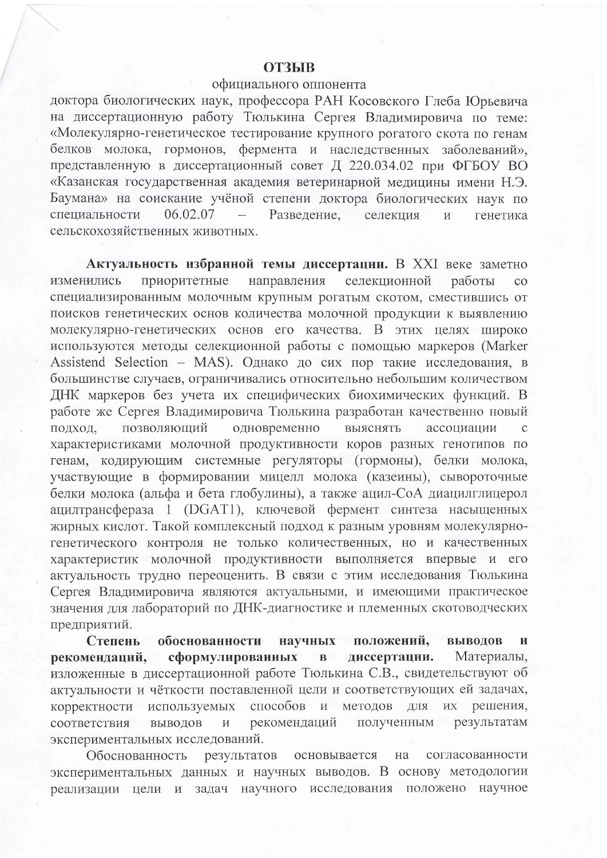# **ОТЗЫВ**

## официального оппонента

доктора биологических наук, профессора РАН Косовского Глеба Юрьевича на диссертационную работу Тюлькина Сергея Владимировича по теме: «Молекулярно-генетическое тестирование крупного рогатого скота по генам белков молока, гормонов, фермента и наследственных заболеваний», представленную в диссертационный совет Д 220.034.02 при ФГБОУ ВО «Казанская государственная академия ветеринарной медицины имени Н.Э. Баумана» на соискание учёной степени доктора биологических наук по специальности 06.02.07 Разведение. селекция  $\overline{M}$ генетика сельскохозяйственных животных.

Актуальность избранной темы диссертации. В XXI веке заметно приоритетные направления селекционной изменились работы  $\overline{c}$ специализированным молочным крупным рогатым скотом, сместившись от поисков генетических основ количества молочной продукции к выявлению молекулярно-генетических основ его качества. В этих целях широко используются методы селекционной работы с помощью маркеров (Marker Assistend Selection - MAS). Однако до сих пор такие исследования, в большинстве случаев, ограничивались относительно небольшим количеством ДНК маркеров без учета их специфических биохимических функций. В работе же Сергея Владимировича Тюлькина разработан качественно новый одновременно позволяющий выяснять ассоциации подход, характеристиками молочной продуктивности коров разных генотипов по генам, кодирующим системные регуляторы (гормоны), белки молока, участвующие в формировании мицелл молока (казеины), сывороточные белки молока (альфа и бета глобулины), а также ацил-СоА диацилглицерол ацилтрансфераза 1 (DGAT1), ключевой фермент синтеза насыщенных жирных кислот. Такой комплексный подход к разным уровням молекулярногенетического контроля не только количественных, но и качественных характеристик молочной продуктивности выполняется впервые и его актуальность трудно переоценить. В связи с этим исследования Тюлькина Сергея Владимировича являются актуальными, и имеющими практическое значения для лабораторий по ДНК-диагностике и племенных скотоводческих предприятий.

Степень обоснованности положений, выводов научных  $\mathbf{M}$ сформулированных диссертации. Материалы, рекомендаций,  $\overline{\mathbf{B}}$ изложенные в диссертационной работе Тюлькина С.В., свидетельствуют об актуальности и чёткости поставленной цели и соответствующих ей задачах, используемых способов методов для  $\bar{\rm M}$ ИX решения, корректности соответствия выводов  $\,$  M рекомендаций полученным результатам экспериментальных исследований.

результатов на Обоснованность основывается согласованности экспериментальных данных и научных выводов. В основу методологии реализации цели и задач научного исследования положено научное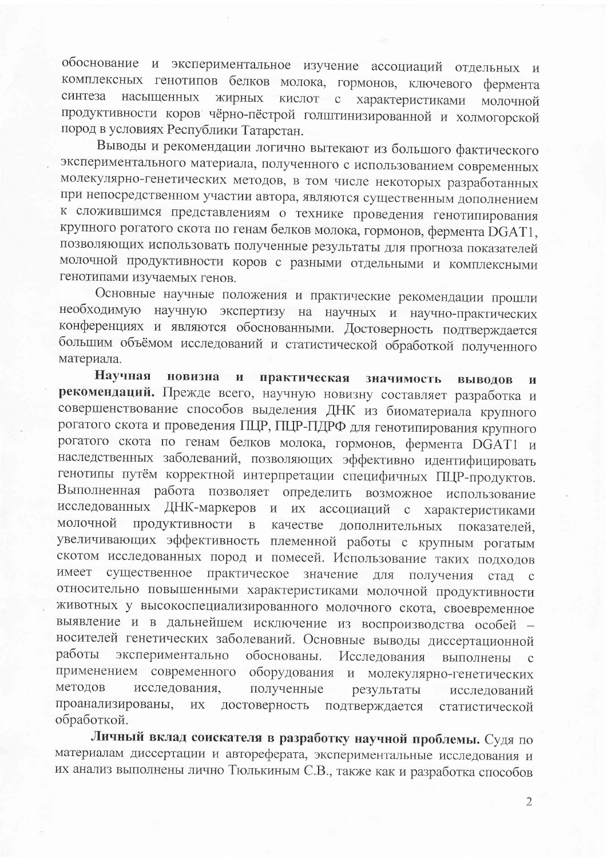обоснование и экспериментальное изучение ассоциаций отдельных и комплексных генотипов белков молока, гормонов, ключевого фермента синтеза насышенных жирных кислот с характеристиками молочной продуктивности коров чёрно-пёстрой голштинизированной и холмогорской пород в условиях Республики Татарстан.

Выводы и рекомендации логично вытекают из большого фактического экспериментального материала, полученного с использованием современных молекулярно-генетических методов, в том числе некоторых разработанных при непосредственном участии автора, являются существенным дополнением к сложившимся представлениям о технике проведения генотипирования крупного рогатого скота по генам белков молока, гормонов, фермента DGAT1, позволяющих использовать полученные результаты для прогноза показателей молочной продуктивности коров с разными отдельными и комплексными генотипами изучаемых генов.

Основные научные положения и практические рекомендации прошли необходимую научную экспертизу на научных и научно-практических конференциях и являются обоснованными. Достоверность подтверждается большим объёмом исследований и статистической обработкой полученного материала.

Научная новизна  $\mathbf{H}$ практическая значимость ВЫВОЛОВ И рекомендаций. Прежде всего, научную новизну составляет разработка и совершенствование способов выделения ДНК из биоматериала крупного рогатого скота и проведения ПЦР, ПЦР-ПДРФ для генотипирования крупного рогатого скота по генам белков молока, гормонов, фермента DGAT1 и наследственных заболеваний, позволяющих эффективно идентифицировать генотипы путём корректной интерпретации специфичных ПЦР-продуктов. Выполненная работа позволяет определить возможное использование исследованных ДНК-маркеров и их ассоциаций с характеристиками молочной продуктивности  $\, {\bf B}$ качестве дополнительных показателей. увеличивающих эффективность племенной работы с крупным рогатым скотом исследованных пород и помесей. Использование таких подходов существенное практическое значение имеет ДЛЯ получения стад с относительно повышенными характеристиками молочной продуктивности животных у высокоспециализированного молочного скота, своевременное выявление и в дальнейшем исключение из воспроизводства особей носителей генетических заболеваний. Основные выводы диссертационной работы экспериментально обоснованы. Исследования выполнены  $\mathbf C$ применением современного оборудования и молекулярно-генетических методов исследования, полученные результаты исследований проанализированы,  $\ensuremath{\textit{HX}}$ достоверность подтверждается статистической обработкой.

Личный вклад соискателя в разработку научной проблемы. Судя по материалам диссертации и автореферата, экспериментальные исследования и их анализ выполнены лично Тюлькиным С.В., также как и разработка способов

 $\overline{2}$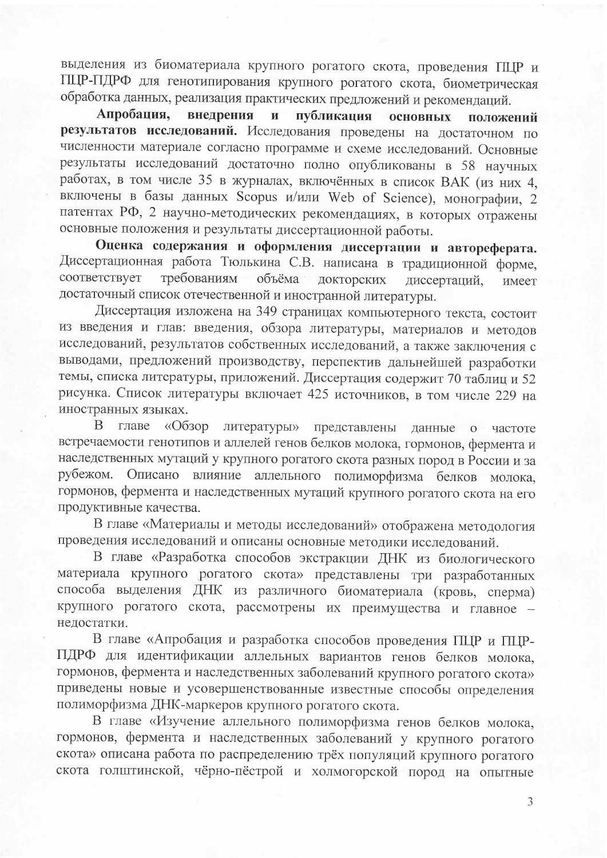выделения из биоматериала крупного рогатого скота, проведения ГЩР и ПЦР-ПДРФ для генотипирования крупного рогатого скота, биометрическая обработка данных, реализация практических предложений и рекомендаций.

Апробация. внедрения  $\mathbf{M}$ публикация основных положений результатов исследований. Исследования проведены на достаточном по численности материале согласно программе и схеме исследований. Основные результаты исследований достаточно полно опубликованы в 58 научных работах, в том числе 35 в журналах, включённых в список ВАК (из них 4, включены в базы данных Scopus и/или Web of Science), монографии, 2 патентах РФ, 2 научно-методических рекомендациях, в которых отражены основные положения и результаты диссертационной работы.

Оценка содержания и оформления диссертации и автореферата. Диссертационная работа Тюлькина С.В. написана в традиционной форме, соответствует требованиям объёма докторских диссертаций. имеет достаточный список отечественной и иностранной литературы.

Диссертация изложена на 349 страницах компьютерного текста, состоит из введения и глав: введения, обзора литературы, материалов и методов исследований, результатов собственных исследований, а также заключения с выводами, предложений производству, перспектив дальнейшей разработки темы, списка литературы, приложений. Диссертация содержит 70 таблиц и 52 рисунка. Список литературы включает 425 источников, в том числе 229 на иностранных языках.

B главе «Обзор литературы» представлены данные о частоте встречаемости генотипов и аллелей генов белков молока, гормонов, фермента и наследственных мутаций у крупного рогатого скота разных пород в России и за рубежом. Описано влияние аллельного полиморфизма белков молока, гормонов, фермента и наследственных мутаций крупного рогатого скота на его продуктивные качества.

В главе «Материалы и методы исследований» отображена методология проведения исследований и описаны основные методики исследований.

В главе «Разработка способов экстракции ДНК из биологического материала крупного рогатого скота» представлены три разработанных способа выделения ДНК из различного биоматериала (кровь, сперма) крупного рогатого скота, рассмотрены их преимущества и главное недостатки.

В главе «Апробация и разработка способов проведения ПЦР и ПЦР-ПДРФ для идентификации аллельных вариантов генов белков молока, гормонов, фермента и наследственных заболеваний крупного рогатого скота» приведены новые и усовершенствованные известные способы определения полиморфизма ДНК-маркеров крупного рогатого скота.

В главе «Изучение аллельного полиморфизма генов белков молока, гормонов, фермента и наследственных заболеваний у крупного рогатого скота» описана работа по распределению трёх популяций крупного рогатого скота голштинской, чёрно-пёстрой и холмогорской пород на опытные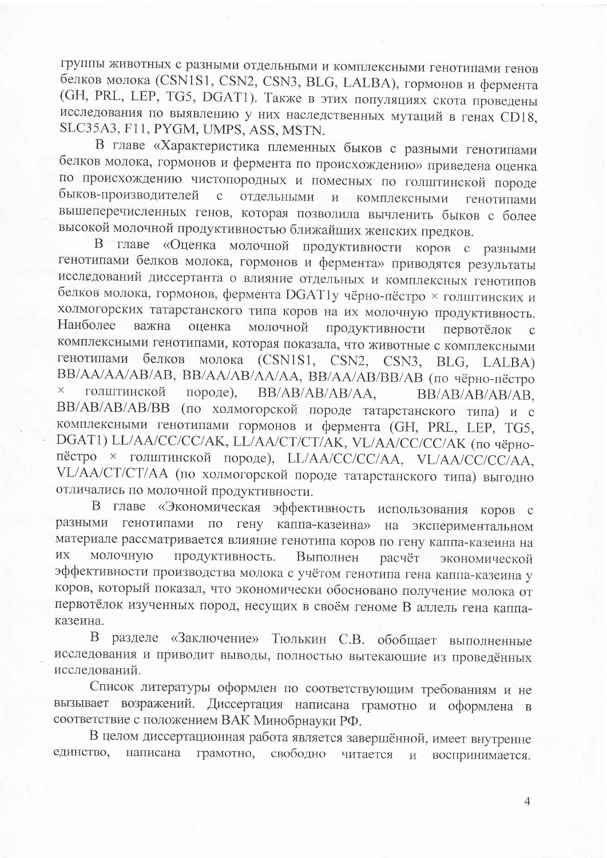группы животных с разными отдельными и комплексными генотипами генов белков молока (CSN1S1, CSN2, CSN3, BLG, LALBA), гормонов и фермента (GH, PRL, LEP, TG5, DGAT1). Также в этих популяциях скота проведены исследования по выявлению у них наследственных мутаций в генах CD18, SLC35A3, F11, PYGM, UMPS, ASS, MSTN.

В главе «Характеристика племенных быков с разными генотипами белков молока, гормонов и фермента по происхождению» приведена оценка по происхождению чистопородных и помесных по голштинской породе быков-производителей  $\mathbf{c}$ отдельными  $H$ комплексными генотипами вышеперечисленных генов, которая позволила вычленить быков с более высокой молочной продуктивностью ближайших женских предков.

В главе «Оценка молочной продуктивности коров с разными генотипами белков молока, гормонов и фермента» приводятся результаты исследований диссертанта о влияние отдельных и комплексных генотипов белков молока, гормонов, фермента DGAT1у чёрно-пёстро × голштинских и холмогорских татарстанского типа коров на их молочную продуктивность. Наиболее важна оценка молочной продуктивности первотёлок  $\mathbf{C}$ комплексными генотипами, которая показала, что животные с комплексными генотипами белков молока (CSN1S1, CSN2, CSN3, BLG, LALBA) ВВ/АА/АА/АВ/АВ, ВВ/АА/АВ/АА/АА, ВВ/АА/АВ/ВВ/АВ (по чёрно-пёстро  $\times$ голштинской породе), BB/AB/AB/AB/AA, BB/AB/AB/AB/AB. ВВ/АВ/АВ/АВ/ВВ (по холмогорской породе татарстанского типа) и с комплексными генотипами гормонов и фермента (GH, PRL, LEP, TG5, DGAT1) LL/AA/CC/CC/AK, LL/AA/CT/CT/AK, VL/AA/CC/CC/AK (по чёрнопёстро × голштинской породе), LL/AA/CC/CC/AA, VL/AA/CC/CC/AA, VL/AA/CT/CT/AA (по холмогорской породе татарстанского типа) выгодно отличались по молочной продуктивности.

В главе «Экономическая эффективность использования коров с разными генотипами по гену каппа-казеина» на экспериментальном материале рассматривается влияние генотипа коров по гену каппа-казеина на **HX** молочную продуктивность. Выполнен расчёт экономической эффективности производства молока с учётом генотипа гена каппа-казеина у коров, который показал, что экономически обосновано получение молока от первотёлок изученных пород, несущих в своём геноме В аллель гена каппаказеина.

В разделе «Заключение» Тюлькин С.В. обобщает выполненные исследования и приводит выводы, полностью вытекающие из проведённых исследований.

Список литературы оформлен по соответствующим требованиям и не вызывает возражений. Диссертация написана грамотно и оформлена в соответствие с положением ВАК Минобрнауки РФ.

В целом диссертационная работа является завершённой, имеет внутренне единство, написана грамотно, свободно читается  $\overline{\mathbf{M}}$ воспринимается.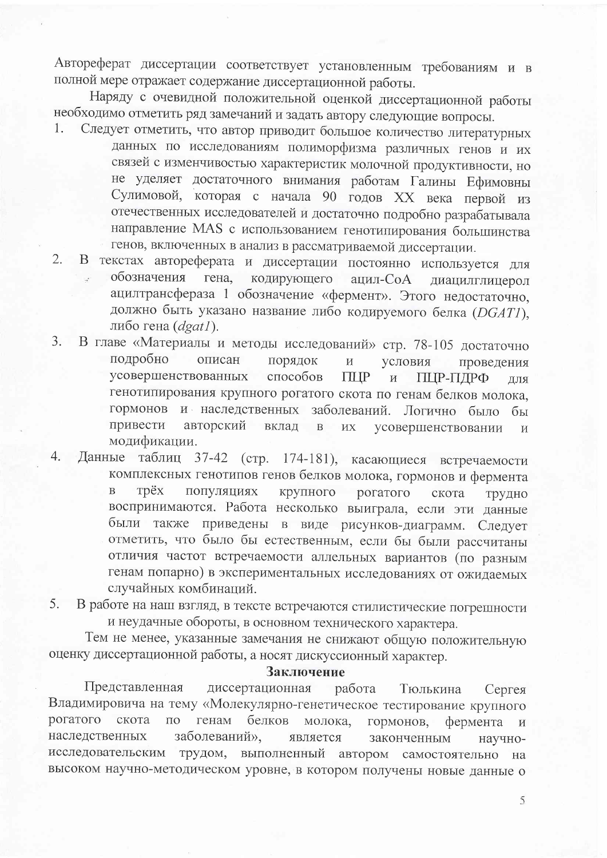Автореферат диссертации соответствует установленным требованиям и в полной мере отражает содержание диссертационной работы.

Наряду с очевидной положительной оценкой диссертационной работы необходимо отметить ряд замечаний и задать автору следующие вопросы.

- Следует отметить, что автор приводит большое количество литературных  $1.$ данных по исследованиям полиморфизма различных генов и их связей с изменчивостью характеристик молочной продуктивности, но не уделяет достаточного внимания работам Галины Ефимовны Сулимовой, которая с начала 90 годов XX века первой из отечественных исследователей и достаточно подробно разрабатывала направление MAS с использованием генотипирования большинства генов, включенных в анализ в рассматриваемой диссертации.
- В текстах автореферата и диссертации постоянно используется для  $2.1$ обозначения гена. кодирующего ацил-СоА диацилглицерол ацилтрансфераза 1 обозначение «фермент». Этого недостаточно, должно быть указано название либо кодируемого белка (DGAT1), либо гена  $(dgat)$ .
- В главе «Материалы и методы исследований» стр. 78-105 достаточно  $3.$ подробно описан порядок  $\,$  M условия проведения усовершенствованных способов **THP**  $\overline{M}$ ПЦР-ПДРФ ЛЛЯ генотипирования крупного рогатого скота по генам белков молока, гормонов и наследственных заболеваний. Логично было бы привести авторский вклад  $\, {\bf B}$  $\overline{HX}$ усовершенствовании  $\overline{M}$ модификации.
- Данные таблиц 37-42 (стр. 174-181), касающиеся встречаемости  $\overline{4}$ . комплексных генотипов генов белков молока, гормонов и фермента Tpëx популяциях  $\overline{B}$ крупного рогатого скота трудно воспринимаются. Работа несколько выиграла, если эти данные были также приведены в виде рисунков-диаграмм. Следует отметить, что было бы естественным, если бы были рассчитаны отличия частот встречаемости аллельных вариантов (по разным генам попарно) в экспериментальных исследованиях от ожидаемых случайных комбинаций.
- В работе на наш взгляд, в тексте встречаются стилистические погрешности 5. и неудачные обороты, в основном технического характера.

Тем не менее, указанные замечания не снижают общую положительную оценку диссертационной работы, а носят дискуссионный характер.

#### Заключение

Представленная диссертационная работа Тюлькина Сергея Владимировича на тему «Молекулярно-генетическое тестирование крупного рогатого скота  $\Pi$ O генам белков молока, гормонов, фермента  $\overline{M}$ наследственных заболеваний», является законченным научноисследовательским трудом, выполненный автором самостоятельно на высоком научно-методическом уровне, в котором получены новые данные о